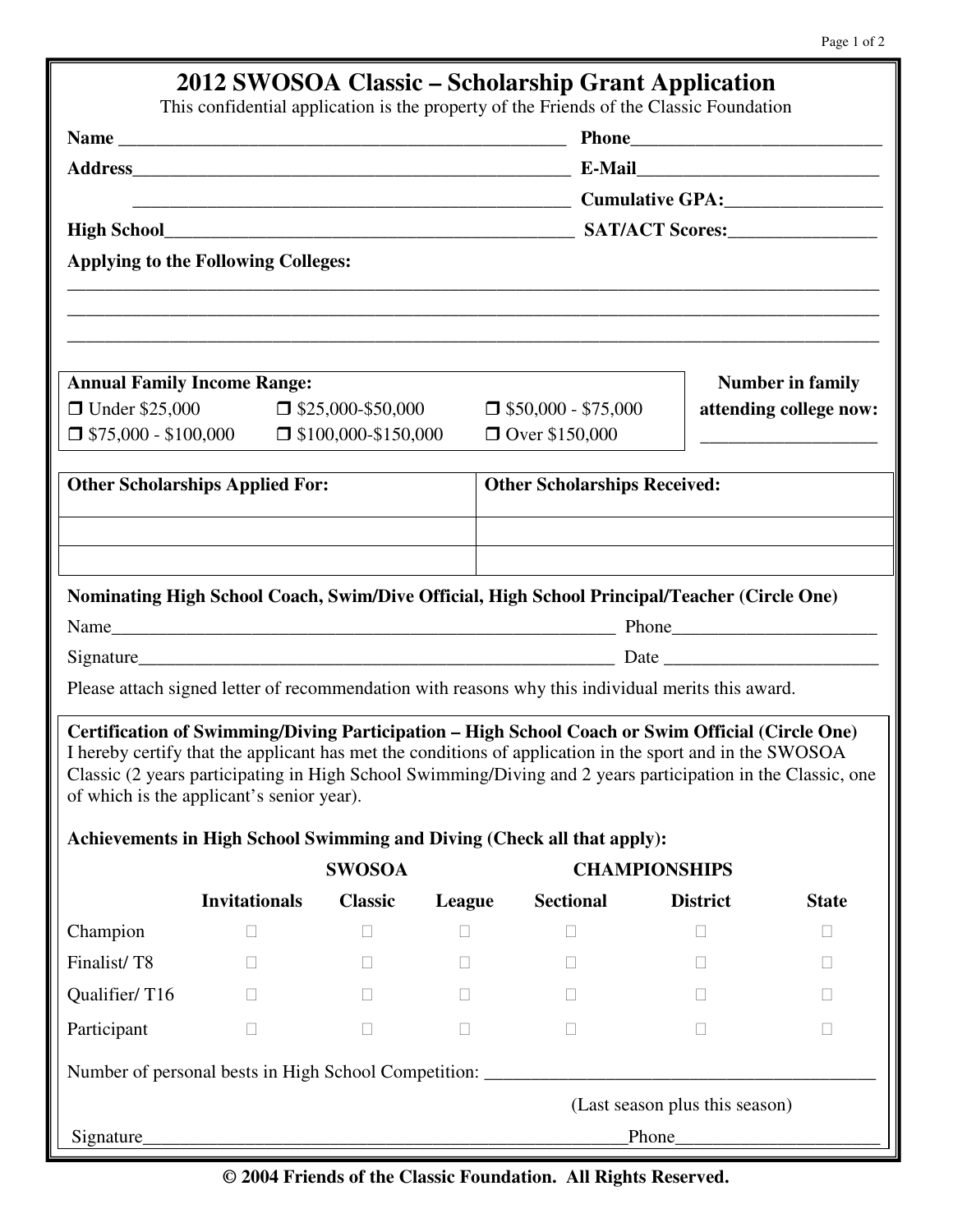| This confidential application is the property of the Friends of the Classic Foundation                                                                                                                                                                                                                                                                                   |       |                          |        |                                        |                      |                                |                         |                                            |  |  |  |  |  |  |  |
|--------------------------------------------------------------------------------------------------------------------------------------------------------------------------------------------------------------------------------------------------------------------------------------------------------------------------------------------------------------------------|-------|--------------------------|--------|----------------------------------------|----------------------|--------------------------------|-------------------------|--------------------------------------------|--|--|--|--|--|--|--|
|                                                                                                                                                                                                                                                                                                                                                                          |       |                          |        | <b>Cumulative GPA:</b> Cumulative CPA: |                      |                                |                         |                                            |  |  |  |  |  |  |  |
|                                                                                                                                                                                                                                                                                                                                                                          |       |                          |        |                                        |                      |                                |                         | <b>Applying to the Following Colleges:</b> |  |  |  |  |  |  |  |
|                                                                                                                                                                                                                                                                                                                                                                          |       |                          |        |                                        |                      |                                |                         |                                            |  |  |  |  |  |  |  |
| <b>Annual Family Income Range:</b>                                                                                                                                                                                                                                                                                                                                       |       |                          |        |                                        |                      |                                | <b>Number in family</b> |                                            |  |  |  |  |  |  |  |
| □ Under \$25,000                                                                                                                                                                                                                                                                                                                                                         |       | $\Box$ \$25,000-\$50,000 |        | $\Box$ \$50,000 - \$75,000             |                      |                                | attending college now:  |                                            |  |  |  |  |  |  |  |
| $\Box$ \$75,000 - \$100,000 $\Box$ \$100,000-\$150,000                                                                                                                                                                                                                                                                                                                   |       |                          |        | □ Over \$150,000                       |                      |                                |                         |                                            |  |  |  |  |  |  |  |
| <b>Other Scholarships Applied For:</b>                                                                                                                                                                                                                                                                                                                                   |       |                          |        | <b>Other Scholarships Received:</b>    |                      |                                |                         |                                            |  |  |  |  |  |  |  |
|                                                                                                                                                                                                                                                                                                                                                                          |       |                          |        |                                        |                      |                                |                         |                                            |  |  |  |  |  |  |  |
|                                                                                                                                                                                                                                                                                                                                                                          |       |                          |        |                                        |                      |                                |                         |                                            |  |  |  |  |  |  |  |
| Nominating High School Coach, Swim/Dive Official, High School Principal/Teacher (Circle One)                                                                                                                                                                                                                                                                             |       |                          |        |                                        |                      |                                |                         |                                            |  |  |  |  |  |  |  |
|                                                                                                                                                                                                                                                                                                                                                                          |       |                          |        |                                        |                      |                                |                         |                                            |  |  |  |  |  |  |  |
|                                                                                                                                                                                                                                                                                                                                                                          |       |                          |        |                                        |                      |                                |                         |                                            |  |  |  |  |  |  |  |
| Please attach signed letter of recommendation with reasons why this individual merits this award.                                                                                                                                                                                                                                                                        |       |                          |        |                                        |                      |                                |                         |                                            |  |  |  |  |  |  |  |
| Certification of Swimming/Diving Participation - High School Coach or Swim Official (Circle One)<br>I hereby certify that the applicant has met the conditions of application in the sport and in the SWOSOA<br>Classic (2 years participating in High School Swimming/Diving and 2 years participation in the Classic, one<br>of which is the applicant's senior year). |       |                          |        |                                        |                      |                                |                         |                                            |  |  |  |  |  |  |  |
| Achievements in High School Swimming and Diving (Check all that apply):                                                                                                                                                                                                                                                                                                  |       |                          |        |                                        |                      |                                |                         |                                            |  |  |  |  |  |  |  |
| <b>Invitationals</b>                                                                                                                                                                                                                                                                                                                                                     |       | <b>SWOSOA</b>            |        |                                        | <b>CHAMPIONSHIPS</b> |                                |                         |                                            |  |  |  |  |  |  |  |
| Champion                                                                                                                                                                                                                                                                                                                                                                 |       | <b>Classic</b>           | League | <b>Sectional</b>                       |                      | <b>District</b>                | <b>State</b>            |                                            |  |  |  |  |  |  |  |
| Finalist/T8                                                                                                                                                                                                                                                                                                                                                              |       |                          |        |                                        |                      |                                |                         |                                            |  |  |  |  |  |  |  |
| Qualifier/T16                                                                                                                                                                                                                                                                                                                                                            |       |                          |        |                                        |                      |                                |                         |                                            |  |  |  |  |  |  |  |
| Participant                                                                                                                                                                                                                                                                                                                                                              |       |                          |        |                                        |                      |                                |                         |                                            |  |  |  |  |  |  |  |
|                                                                                                                                                                                                                                                                                                                                                                          |       |                          |        |                                        |                      |                                |                         |                                            |  |  |  |  |  |  |  |
|                                                                                                                                                                                                                                                                                                                                                                          |       |                          |        |                                        |                      |                                |                         |                                            |  |  |  |  |  |  |  |
|                                                                                                                                                                                                                                                                                                                                                                          |       |                          |        |                                        |                      | (Last season plus this season) |                         |                                            |  |  |  |  |  |  |  |
|                                                                                                                                                                                                                                                                                                                                                                          | Phone |                          |        |                                        |                      |                                |                         |                                            |  |  |  |  |  |  |  |

**© 2004 Friends of the Classic Foundation. All Rights Reserved.**